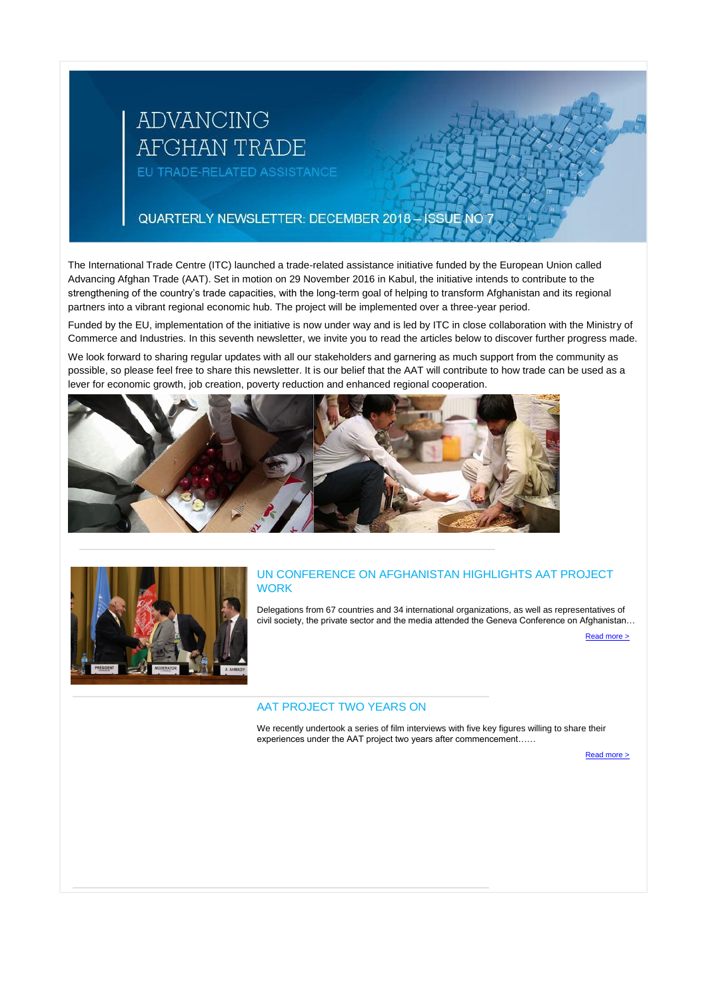# ADVANCING **AFGHAN TRADE** EU TRADE-RELATED ASSISTANCE

QUARTERLY NEWSLETTER: DECEMBER 2018 - ISSUE NO 7

The International Trade Centre (ITC) launched a trade-related assistance initiative funded by the European Union called Advancing Afghan Trade (AAT). Set in motion on 29 November 2016 in Kabul, the initiative intends to contribute to the strengthening of the country's trade capacities, with the long-term goal of helping to transform Afghanistan and its regional partners into a vibrant regional economic hub. The project will be implemented over a three-year period.

## UN CONFERENCE ON AFGHANISTAN HIGHLIGHTS AAT PROJECT **WORK**

Funded by the EU, implementation of the initiative is now under way and is led by ITC in close collaboration with the Ministry of Commerce and Industries. In this seventh newsletter, we invite you to read the articles below to discover further progress made.

We look forward to sharing regular updates with all our stakeholders and garnering as much support from the community as possible, so please feel free to share this newsletter. It is our belief that the AAT will contribute to how trade can be used as a lever for economic growth, job creation, poverty reduction and enhanced regional cooperation.





Delegations from 67 countries and 34 international organizations, as well as representatives of civil society, the private sector and the media attended the Geneva Conference on Afghanistan…

[Read more >](http://eye.maillink.intracen.org/c?p=xBDuUgLQg9DQ0MlA4NCeXSjQ1NC10Ikm0NXEENDe0I1_OHVpRFDQuPcESNCP0JjQndDM2UVodHRwOi8vd3d3LmludHJhY2VuLm9yZy91cGxvYWRlZEZpbGVzL2ludHJhY2Vub3JnL0Jsb2dzL0dlbmV2YUNvbi5wZGa4NWE3MDNlNDdiODViNTM2YTlmNGJmNjA4xBDQuNDf0KTQlNDS70nQwNC6FdClNNDK7GwluWV5ZS5tYWlsbGluay5pbnRyYWNlbi5vcmfEFNDb0MbQg9Ch0IIa0LFlaPd5DNDXaFZjGdCJIl8)

## AAT PROJECT TWO YEARS ON

We recently undertook a series of film interviews with five key figures willing to share their experiences under the AAT project two years after commencement……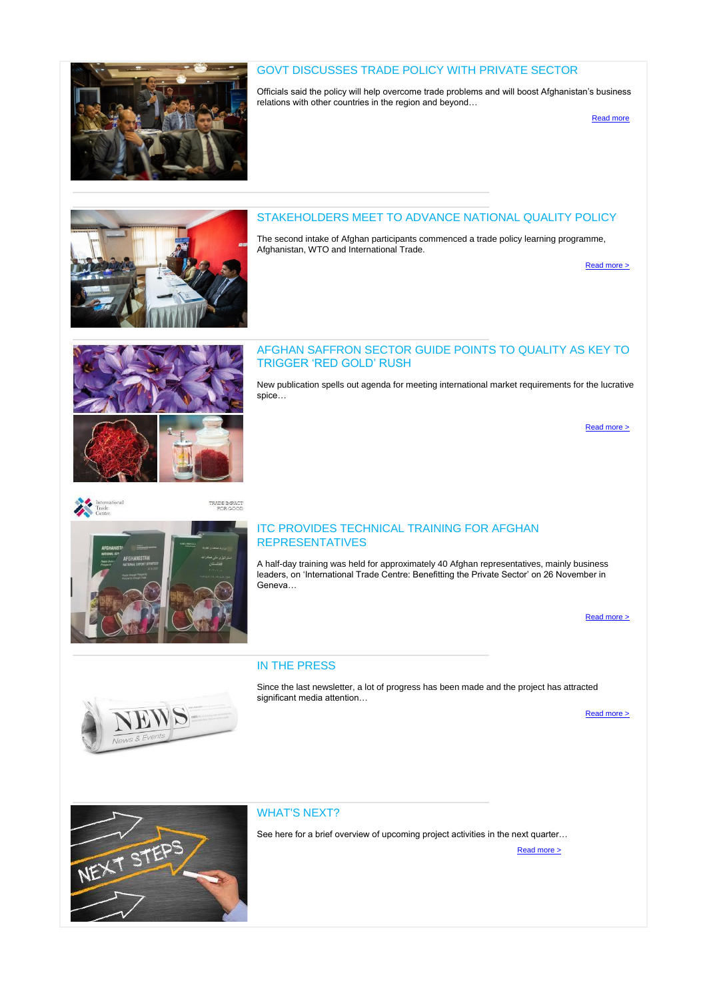

## GOVT DISCUSSES TRADE POLICY WITH PRIVATE SECTOR

Officials said the policy will help overcome trade problems and will boost Afghanistan's business relations with other countries in the region and beyond…

[Read more](http://eye.maillink.intracen.org/c?p=xBDuUgLQg9DQ0MlA4NCeXSjQ1NC10Ikm0NXEENCX0Lw0I9C70IpONtCfY9CPR03QymsL2UxodHRwczovL3d3dy50b2xvbmV3cy5jb20vYnVzaW5lc3MvZ292dC1kaXNjdXNzZXMtdHJhZGUtcG9saWN5LXByaXZhdGUtc2VjdG9yuDVhNzAzZTQ3Yjg1YjUzNmE5ZjRiZjYwOMQQ0LjQ39Ck0JTQ0u9J0MDQuhXQpTTQyuxsJblleWUubWFpbGxpbmsuaW50cmFjZW4ub3JnxBTQ29DG0IPQodCCGtCxZWj3eQzQ12hWYxnQiSJf)

## STAKEHOLDERS MEET TO ADVANCE NATIONAL QUALITY POLICY

The second intake of Afghan participants commenced a trade policy learning programme, Afghanistan, WTO and International Trade.

[Read more >](http://eye.maillink.intracen.org/c?p=xBDuUgLQg9DQ0MlA4NCeXSjQ1NC10Ikm0NXEEDkp0NNa0MnQw0UP0K7u0MzySNDb0LQz2T9odHRwOi8vd3d3LmludHJhY2VuLm9yZy91cGxvYWRlZEZpbGVzL2ludHJhY2Vub3JnL0Jsb2dzL05RUC5wZGa4NWE3MDNlNDdiODViNTM2YTlmNGJmNjA4xBDQuNDf0KTQlNDS70nQwNC6FdClNNDK7GwluWV5ZS5tYWlsbGluay5pbnRyYWNlbi5vcmfEFNDb0MbQg9Ch0IIa0LFlaPd5DNDXaFZjGdCJIl8)



## AFGHAN SAFFRON SECTOR GUIDE POINTS TO QUALITY AS KEY TO TRIGGER 'RED GOLD' RUSH

New publication spells out agenda for meeting international market requirements for the lucrative

# spice…

[Read more >](http://eye.maillink.intracen.org/c?p=xBDuUgLQg9DQ0MlA4NCeXSjQ1NC10Ikm0NXEENDADuHi69CBStC_0KzQrCTQ1dCkeRvQy9lraHR0cDovL3d3dy5pbnRyYWNlbi5vcmcvbmV3cy9BZmdoYW4tc2FmZnJvbi1zZWN0b3ItZ3VpZGUtcG9pbnRzLXRvLXF1YWxpdHktYXMta2V5LXRvLXRyaWdnZXItcmVkLWdvbGQtcnVzaC-4NWE3MDNlNDdiODViNTM2YTlmNGJmNjA4xBDQuNDf0KTQlNDS70nQwNC6FdClNNDK7GwluWV5ZS5tYWlsbGluay5pbnRyYWNlbi5vcmfEFNDb0MbQg9Ch0IIa0LFlaPd5DNDXaFZjGdCJIl8) 



## ITC PROVIDES TECHNICAL TRAINING FOR AFGHAN REPRESENTATIVES

A half-day training was held for approximately 40 Afghan representatives, mainly business leaders, on 'International Trade Centre: Benefitting the Private Sector' on 26 November in Geneva…

Read more >

## IN THE PRESS

Since the last newsletter, a lot of progress has been made and the project has attracted significant media attention…





### WHAT'S NEXT?

See here for a brief overview of upcoming project activities in the next quarter...

[Read more >](http://eye.maillink.intracen.org/c?p=xBDuUgLQg9DQ0MlA4NCeXSjQ1NC10Ikm0NXEENCRX9CZGNCR0MNJY9Ce0JQaAHMUMzjZRGh0dHA6Ly93d3cuaW50cmFjZW4ub3JnL3VwbG9hZGVkRmlsZXMvaW50cmFjZW5vcmcvQmxvZ3Mvd2hhdG5leHQucGRmuDVhNzAzZTQ3Yjg1YjUzNmE5ZjRiZjYwOMQQ0LjQ39Ck0JTQ0u9J0MDQuhXQpTTQyuxsJblleWUubWFpbGxpbmsuaW50cmFjZW4ub3JnxBTQ29DG0IPQodCCGtCxZWj3eQzQ12hWYxnQiSJf)